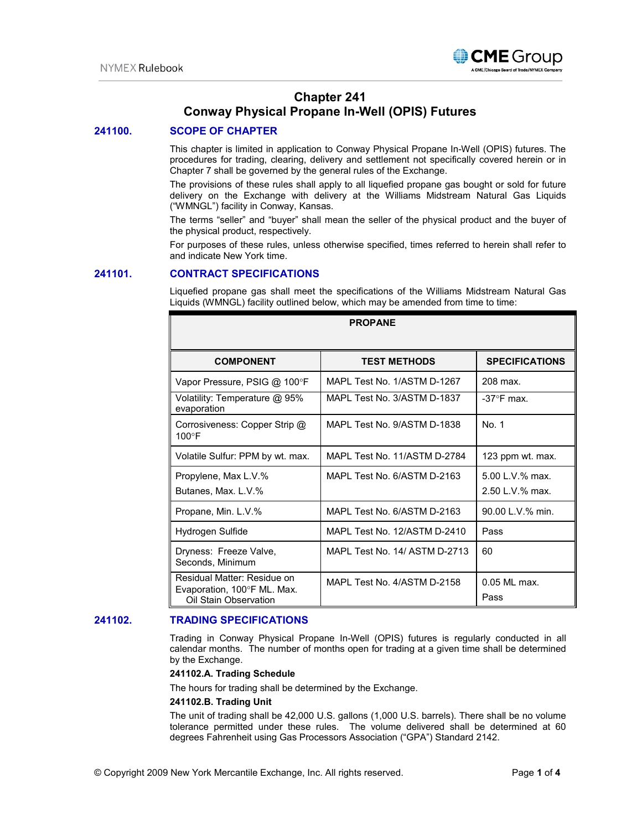

# **Chapter 241 Conway Physical Propane In-Well (OPIS) Futures**

# **241100. SCOPE OF CHAPTER**

This chapter is limited in application to Conway Physical Propane In-Well (OPIS) futures. The procedures for trading, clearing, delivery and settlement not specifically covered herein or in Chapter 7 shall be governed by the general rules of the Exchange.

The provisions of these rules shall apply to all liquefied propane gas bought or sold for future delivery on the Exchange with delivery at the Williams Midstream Natural Gas Liquids ("WMNGL") facility in Conway, Kansas.

The terms "seller" and "buyer" shall mean the seller of the physical product and the buyer of the physical product, respectively.

For purposes of these rules, unless otherwise specified, times referred to herein shall refer to and indicate New York time.

## **241101. CONTRACT SPECIFICATIONS**

Liquefied propane gas shall meet the specifications of the Williams Midstream Natural Gas Liquids (WMNGL) facility outlined below, which may be amended from time to time:

| <b>PROPANE</b>                                                                      |                               |                                    |
|-------------------------------------------------------------------------------------|-------------------------------|------------------------------------|
| <b>COMPONENT</b>                                                                    | <b>TEST METHODS</b>           | <b>SPECIFICATIONS</b>              |
| Vapor Pressure, PSIG @ 100°F                                                        | MAPI Test No. 1/ASTM D-1267   | 208 max.                           |
| Volatility: Temperature @ 95%<br>evaporation                                        | MAPL Test No. 3/ASTM D-1837   | $-37^\circ$ F max.                 |
| Corrosiveness: Copper Strip @<br>$100^{\circ}$ F                                    | MAPL Test No. 9/ASTM D-1838   | No. 1                              |
| Volatile Sulfur: PPM by wt. max.                                                    | MAPL Test No. 11/ASTM D-2784  | 123 ppm wt. max.                   |
| Propylene, Max L.V.%<br>Butanes, Max. L.V.%                                         | MAPL Test No. 6/ASTM D-2163   | 5.00 L.V.% max.<br>2.50 L.V.% max. |
| Propane, Min. L.V.%                                                                 | MAPL Test No. 6/ASTM D-2163   | 90.00 L.V.% min.                   |
| Hydrogen Sulfide                                                                    | MAPL Test No. 12/ASTM D-2410  | Pass                               |
| Dryness: Freeze Valve,<br>Seconds, Minimum                                          | MAPL Test No. 14/ ASTM D-2713 | 60                                 |
| Residual Matter: Residue on<br>Evaporation, 100°F ML. Max.<br>Oil Stain Observation | MAPL Test No. 4/ASTM D-2158   | $0.05$ MI max.<br>Pass             |

## **241102. TRADING SPECIFICATIONS**

Trading in Conway Physical Propane In-Well (OPIS) futures is regularly conducted in all calendar months. The number of months open for trading at a given time shall be determined by the Exchange.

#### **241102.A. Trading Schedule**

The hours for trading shall be determined by the Exchange.

#### **241102.B. Trading Unit**

The unit of trading shall be 42,000 U.S. gallons (1,000 U.S. barrels). There shall be no volume tolerance permitted under these rules. The volume delivered shall be determined at 60 degrees Fahrenheit using Gas Processors Association ("GPA") Standard 2142.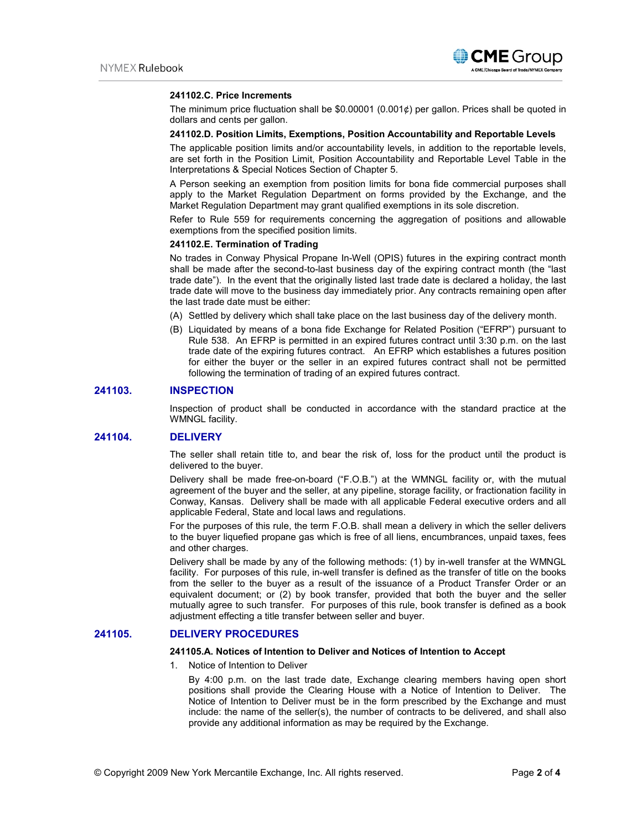

#### **241102.C. Price Increments**

The minimum price fluctuation shall be  $$0.00001 (0.001¢)$  per gallon. Prices shall be quoted in dollars and cents per gallon.

#### **241102.D. Position Limits, Exemptions, Position Accountability and Reportable Levels**

The applicable position limits and/or accountability levels, in addition to the reportable levels, are set forth in the Position Limit, Position Accountability and Reportable Level Table in the Interpretations & Special Notices Section of Chapter 5.

A Person seeking an exemption from position limits for bona fide commercial purposes shall apply to the Market Regulation Department on forms provided by the Exchange, and the Market Regulation Department may grant qualified exemptions in its sole discretion.

Refer to Rule 559 for requirements concerning the aggregation of positions and allowable exemptions from the specified position limits.

#### **241102.E. Termination of Trading**

No trades in Conway Physical Propane In-Well (OPIS) futures in the expiring contract month shall be made after the second-to-last business day of the expiring contract month (the "last trade date"). In the event that the originally listed last trade date is declared a holiday, the last trade date will move to the business day immediately prior. Any contracts remaining open after the last trade date must be either:

- (A) Settled by delivery which shall take place on the last business day of the delivery month.
- (B) Liquidated by means of a bona fide Exchange for Related Position ("EFRP") pursuant to Rule 538. An EFRP is permitted in an expired futures contract until 3:30 p.m. on the last trade date of the expiring futures contract. An EFRP which establishes a futures position for either the buyer or the seller in an expired futures contract shall not be permitted following the termination of trading of an expired futures contract.

#### **241103. INSPECTION**

Inspection of product shall be conducted in accordance with the standard practice at the WMNGL facility.

## **241104. DELIVERY**

The seller shall retain title to, and bear the risk of, loss for the product until the product is delivered to the buyer.

Delivery shall be made free-on-board ("F.O.B.") at the WMNGL facility or, with the mutual agreement of the buyer and the seller, at any pipeline, storage facility, or fractionation facility in Conway, Kansas. Delivery shall be made with all applicable Federal executive orders and all applicable Federal, State and local laws and regulations.

For the purposes of this rule, the term F.O.B. shall mean a delivery in which the seller delivers to the buyer liquefied propane gas which is free of all liens, encumbrances, unpaid taxes, fees and other charges.

Delivery shall be made by any of the following methods: (1) by in-well transfer at the WMNGL facility. For purposes of this rule, in-well transfer is defined as the transfer of title on the books from the seller to the buyer as a result of the issuance of a Product Transfer Order or an equivalent document; or (2) by book transfer, provided that both the buyer and the seller mutually agree to such transfer. For purposes of this rule, book transfer is defined as a book adjustment effecting a title transfer between seller and buyer.

## **241105. DELIVERY PROCEDURES**

## **241105.A. Notices of Intention to Deliver and Notices of Intention to Accept**

1. Notice of Intention to Deliver

By 4:00 p.m. on the last trade date, Exchange clearing members having open short positions shall provide the Clearing House with a Notice of Intention to Deliver. The Notice of Intention to Deliver must be in the form prescribed by the Exchange and must include: the name of the seller(s), the number of contracts to be delivered, and shall also provide any additional information as may be required by the Exchange.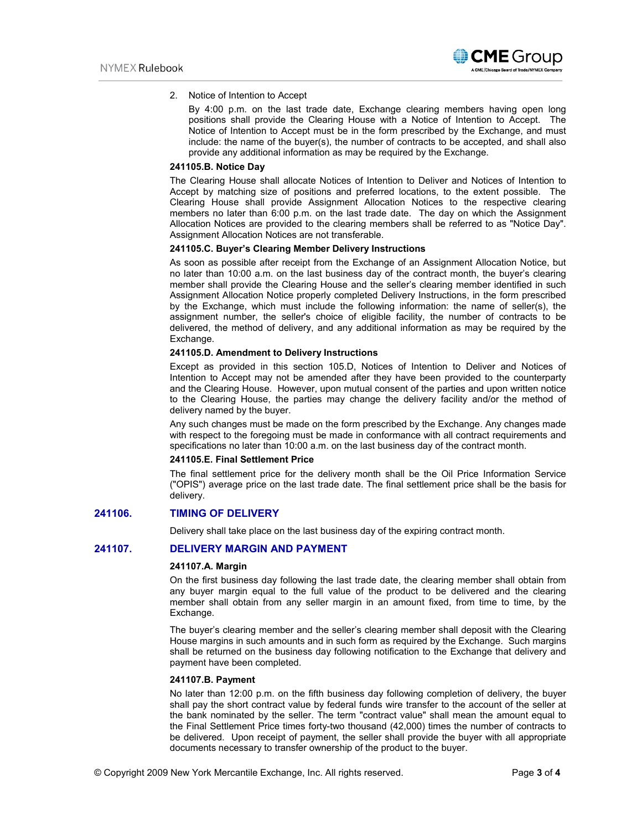2. Notice of Intention to Accept

By 4:00 p.m. on the last trade date, Exchange clearing members having open long positions shall provide the Clearing House with a Notice of Intention to Accept. The Notice of Intention to Accept must be in the form prescribed by the Exchange, and must include: the name of the buyer(s), the number of contracts to be accepted, and shall also provide any additional information as may be required by the Exchange.

## **241105.B. Notice Day**

The Clearing House shall allocate Notices of Intention to Deliver and Notices of Intention to Accept by matching size of positions and preferred locations, to the extent possible. The Clearing House shall provide Assignment Allocation Notices to the respective clearing members no later than 6:00 p.m. on the last trade date. The day on which the Assignment Allocation Notices are provided to the clearing members shall be referred to as "Notice Day". Assignment Allocation Notices are not transferable.

## **241105.C. Buyer's Clearing Member Delivery Instructions**

As soon as possible after receipt from the Exchange of an Assignment Allocation Notice, but no later than 10:00 a.m. on the last business day of the contract month, the buyer's clearing member shall provide the Clearing House and the seller's clearing member identified in such Assignment Allocation Notice properly completed Delivery Instructions, in the form prescribed by the Exchange, which must include the following information: the name of seller(s), the assignment number, the seller's choice of eligible facility, the number of contracts to be delivered, the method of delivery, and any additional information as may be required by the Exchange.

## **241105.D. Amendment to Delivery Instructions**

Except as provided in this section 105.D, Notices of Intention to Deliver and Notices of Intention to Accept may not be amended after they have been provided to the counterparty and the Clearing House. However, upon mutual consent of the parties and upon written notice to the Clearing House, the parties may change the delivery facility and/or the method of delivery named by the buyer.

Any such changes must be made on the form prescribed by the Exchange. Any changes made with respect to the foregoing must be made in conformance with all contract requirements and specifications no later than 10:00 a.m. on the last business day of the contract month.

#### **241105.E. Final Settlement Price**

The final settlement price for the delivery month shall be the Oil Price Information Service ("OPIS") average price on the last trade date. The final settlement price shall be the basis for delivery.

## **241106. TIMING OF DELIVERY**

Delivery shall take place on the last business day of the expiring contract month.

# **241107. DELIVERY MARGIN AND PAYMENT**

#### **241107.A. Margin**

On the first business day following the last trade date, the clearing member shall obtain from any buyer margin equal to the full value of the product to be delivered and the clearing member shall obtain from any seller margin in an amount fixed, from time to time, by the Exchange.

The buyer's clearing member and the seller's clearing member shall deposit with the Clearing House margins in such amounts and in such form as required by the Exchange. Such margins shall be returned on the business day following notification to the Exchange that delivery and payment have been completed.

## **241107.B. Payment**

No later than 12:00 p.m. on the fifth business day following completion of delivery, the buyer shall pay the short contract value by federal funds wire transfer to the account of the seller at the bank nominated by the seller. The term "contract value" shall mean the amount equal to the Final Settlement Price times forty-two thousand (42,000) times the number of contracts to be delivered. Upon receipt of payment, the seller shall provide the buyer with all appropriate documents necessary to transfer ownership of the product to the buyer.